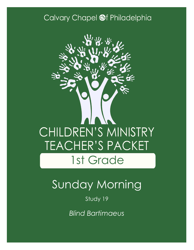## Calvary Chapel @f Philadelphia



# Sunday Morning

Study 19

*Blind Bartimaeus*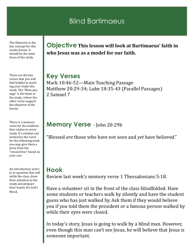## Blind Bartimaeus

The Objective is the key concept for this weeks lesson. It should be the main focus of the study

These are the key verses that you will find helpful in teaching your study this week. The "Main passage" is the basis of the study, where the other verse support the objective of the lesson.

There is a memory verse for the students that relates to every study. If a student can memorize the verse for the following week you may give them a prize from the "reward box" found on your cart.

An introductory activity or question that will settle the class, draw their attention to the study and prepare their hearts for God's Word.

**Objective This lesson will look at Bartimaeus' faith in who Jesus was as a model for our faith.**

**Key Verses** Mark 10:46-52—Main Teaching Passage Matthew 20:29-34; Luke 18:35-43 (Parallel Passages) 2 Samuel 7

### **Memory Verse** - John 20:29b

"Blessed *are* those who have not seen and *yet* have believed."

#### **Hook**

Review last week's memory verse 1 Thessalonians 5:18.

Have a volunteer sit in the front of the class blindfolded. Have some students or teachers walk by silently and have the student guess who has just walked by. Ask them if they would believe you if you told them the president or a famous person walked by while their eyes were closed.

In today's story, Jesus is going to walk by a blind man. However, even though this man can't see Jesus, he will believe that Jesus is someone important.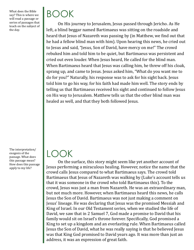What does the Bible say? This is where we will read a passage or series of passages that teach on the subject of the day.

BOOK

On His journey to Jerusalem, Jesus passed through Jericho. As He left, a blind beggar named Bartimaeus was sitting on the roadside and heard that Jesus of Nazareth was passing by (in Matthew, we find out that he had a fellow blind man with him). Upon hearing this news, he cried out to Jesus and said, "Jesus, Son of David, have mercy on me!" The crowd rebuked him and told him to be quiet, but Bartimaeus was persistent and cried out even louder. When Jesus heard, He called for the blind man. When Bartimaeus heard that Jesus was calling him, he threw off his cloak, sprang up, and came to Jesus. Jesus asked him, "What do you want me to do for you?" Naturally, his response was to ask for his sight back. Jesus told him to go his way, for his faith had made him well. The story ends by telling us that Bartimaeus received his sight and continued to follow Jesus on His way to Jerusalem. Matthew tells us that the other blind man was healed as well, and that they both followed Jesus.

The interpretation/ exegesis of the passage. What does this passage mean? How does this passage apply to my life?

## LOOK

On the surface, this story might seem like yet another account of Jesus performing a miraculous healing. However, notice the name that the crowd calls Jesus compared to what Bartimaeus says. The crowd told Bartimaeus that Jesus of Nazareth was walking by (Luke's account tells us that it was someone in the crowd who told Bartimaeus this). To the crowd, Jesus was just a man from Nazareth. He was an extraordinary man, but not much more. However, when Bartimaeus heard this news, he calls Jesus the Son of David. Bartimaeus was not just making a comment on Jesus' lineage. He was declaring that Jesus was the promised Messiah and King of Israel. In our Old Testament series, when we studied the life of David, we saw that in 2 Samuel 7, God made a promise to David that his family would sit on Israel's throne forever. Specifically, God promised a King to set up a kingdom and an everlasting rule. When Bartimaeus called Jesus the Son of David, what he was really saying is that he believed Jesus was that King God promised to David years ago. It was more than just an address, it was an expression of great faith.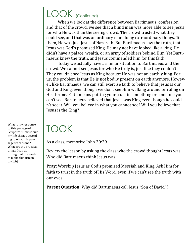## LOOK (Continued)

When we look at the difference between Bartimaeus' confession and that of the crowd, we see that a blind man was more able to see Jesus for who He was than the seeing crowd. The crowd trusted what they could see, and that was an ordinary man doing extraordinary things. To them, He was just Jesus of Nazareth. But Bartimaeus saw the truth, that Jesus was God's promised King. He may not have looked like a king. He didn't have a palace, wealth, or an army of soldiers behind Him. Yet Bartimaeus knew the truth, and Jesus commended him for this faith.

Today we actually have a similar situation to Bartimaeus and the crowd. We cannot see Jesus for who He truly is, just like they couldn't. They couldn't see Jesus as King because He was not an earthly king. For us, the problem is that He is not bodily present on earth anymore. However, like Bartimaeus, we can still exercise faith to believe that Jesus is our God and King, even though we don't see Him walking around or ruling on His throne. Faith means putting your trust in something or someone you can't see. Bartimaeus believed that Jesus was King even though he couldn't see it. Will you believe in what you cannot see? Will you believe that Jesus is the King?

# TOOK

As a class, memorize John 20:29

Review the lesson by asking the class who the crowd thought Jesus was. Who did Bartimaeus think Jesus was.

**Pray:** Worship Jesus as God's promised Messiah and King. Ask Him for faith to trust in the truth of His Word, even if we can't see the truth with our eyes.

**Parent Question:** Why did Bartimaeus call Jesus "Son of David"?

What is my response to this passage of Scripture? How should my life change according to what this passage teaches me? What are the practical things I can do throughout the week to make this true in my life?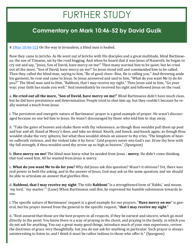# FURTHER STUDY

### **Commentary on Mark 10:46-52 by David Guzik**

4. [\(Mar 10:46](https://www.blueletterbible.org/kjv/mark/10/46-52/s_967046)-52) On the way to Jerusalem, a blind man is healed.

Now they came to Jericho. As He went out of Jericho with His disciples and a great multitude, blind Bartimaeus, the son of Timaeus, sat by the road begging. And when he heard that it was Jesus of Nazareth, he began to cry out and say, "Jesus, Son of David, have mercy on me!" Then many warned him to be quiet; but he cried out all the more, "Son of David, have mercy on me!" So Jesus stood still and commanded him to be called. Then they called the blind man, saying to him, "Be of good cheer. Rise, He is calling you." And throwing aside his garment, he rose and came to Jesus. So Jesus answered and said to him, "What do you want Me to do for you?" The blind man said to Him, "Rabboni, that I may receive my sight." Then Jesus said to him, "Go your way; your faith has made you well." And immediately he received his sight and followed Jesus on the road.

a. **He cried out all the more, "Son of David, have mercy on me!"** Blind Bartimaeus didn't have much class, but he did have persistence and determination. People tried to shut him up, but they couldn't because he really wanted a touch from Jesus

i. The persistent and energetic nature of Bartimaeus' prayer is a good example of prayer. He wasn't discouraged because no one led him to Jesus. He wasn't discouraged by those who told him to stay away.

ii. "Take the gates of heaven and shake them with thy vehemence, as though thou wouldst pull them up post and bar and all. Stand at Mercy's door, and take no denial. Knock, and knock, and knock again, as though thou wouldst shake the very spheres, but what thou wouldst obtain an answer to thy cries. 'The kingdom of heaven suffereth violence, and the violent take it by force.' Cold prayers never win God's ear. Draw thy bow with thy full strength, if thou wouldst send thy arrow up so high as heaven." (Spurgeon)

b. **Have mercy on me!** The blind man knew what he needed from Jesus - **mercy**. He didn't come thinking that God owed him. All he wanted from Jesus is mercy.

c. **What do you want Me to do for you?** Why did Jesus ask this question? Wasn't it obvious? Yet, there was real power in both the asking, and in the answer of Jesus. God may ask us the same question, and we should be able to articulate an answer that glorifies Him.

d. **Rabboni, that I may receive my sight**: The title **Rabboni** "is a strengthened form of 'Rabbi,' and means 'my lord,' 'my master.'" (Lane) When Bartimaeus said this, he expressed his humble submission towards Jesus.

i. The specific nature of Bartimaeus' request is a good example for our prayers. "**Have mercy on me**" is general, but his prayer moved from the general to the specific request, "**that I may receive my sight**."

ii. "Rest assured that those are the best prayers in all respects, if they be earnest and sincere, which go most directly to the point. You know there is a way of praying in the closet, and praying in the family, in which you do not ask for anything. You say a great many good things, introduce much of your own experience, review the doctrines of grace very thoughtfully, but you do not ask for anything in particular. Such prayer is always uninteresting to listen to, and I think it must be rather tedious to those who offer it." (Spurgeon)